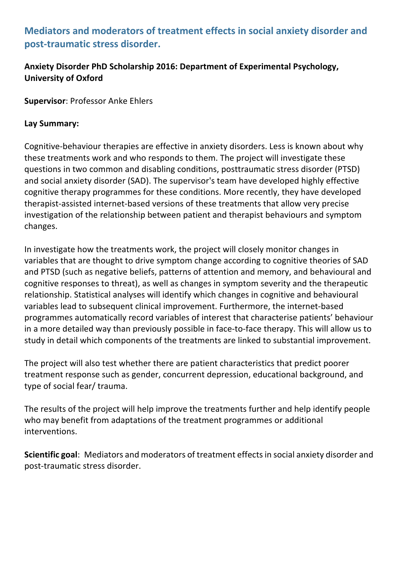# **Mediators and moderators of treatment effects in social anxiety disorder and post-traumatic stress disorder.**

## **Anxiety Disorder PhD Scholarship 2016: Department of Experimental Psychology, University of Oxford**

**Supervisor**: Professor Anke Ehlers

### **Lay Summary:**

Cognitive-behaviour therapies are effective in anxiety disorders. Less is known about why these treatments work and who responds to them. The project will investigate these questions in two common and disabling conditions, posttraumatic stress disorder (PTSD) and social anxiety disorder (SAD). The supervisor's team have developed highly effective cognitive therapy programmes for these conditions. More recently, they have developed therapist-assisted internet-based versions of these treatments that allow very precise investigation of the relationship between patient and therapist behaviours and symptom changes.

In investigate how the treatments work, the project will closely monitor changes in variables that are thought to drive symptom change according to cognitive theories of SAD and PTSD (such as negative beliefs, patterns of attention and memory, and behavioural and cognitive responses to threat), as well as changes in symptom severity and the therapeutic relationship. Statistical analyses will identify which changes in cognitive and behavioural variables lead to subsequent clinical improvement. Furthermore, the internet-based programmes automatically record variables of interest that characterise patients' behaviour in a more detailed way than previously possible in face-to-face therapy. This will allow us to study in detail which components of the treatments are linked to substantial improvement.

The project will also test whether there are patient characteristics that predict poorer treatment response such as gender, concurrent depression, educational background, and type of social fear/ trauma.

The results of the project will help improve the treatments further and help identify people who may benefit from adaptations of the treatment programmes or additional interventions.

**Scientific goal**: Mediators and moderators of treatment effects in social anxiety disorder and post-traumatic stress disorder.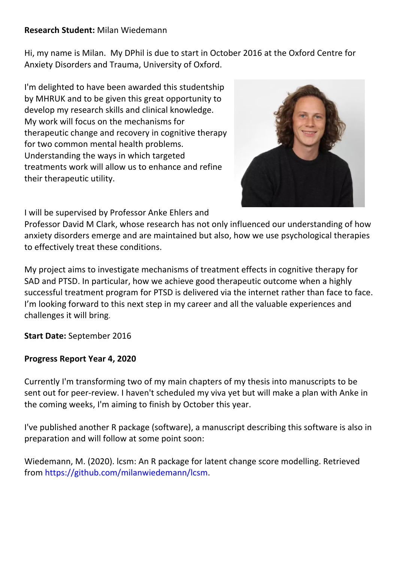#### **Research Student:** Milan Wiedemann

Hi, my name is Milan. My DPhil is due to start in October 2016 at the Oxford Centre for Anxiety Disorders and Trauma, University of Oxford.

I'm delighted to have been awarded this studentship by MHRUK and to be given this great opportunity to develop my research skills and clinical knowledge. My work will focus on the mechanisms for therapeutic change and recovery in cognitive therapy for two common mental health problems. Understanding the ways in which targeted treatments work will allow us to enhance and refine their therapeutic utility.



I will be supervised by Professor Anke Ehlers and

Professor David M Clark, whose research has not only influenced our understanding of how anxiety disorders emerge and are maintained but also, how we use psychological therapies to effectively treat these conditions.

My project aims to investigate mechanisms of treatment effects in cognitive therapy for SAD and PTSD. In particular, how we achieve good therapeutic outcome when a highly successful treatment program for PTSD is delivered via the internet rather than face to face. I'm looking forward to this next step in my career and all the valuable experiences and challenges it will bring.

**Start Date:** September 2016

#### **Progress Report Year 4, 2020**

Currently I'm transforming two of my main chapters of my thesis into manuscripts to be sent out for peer-review. I haven't scheduled my viva yet but will make a plan with Anke in the coming weeks, I'm aiming to finish by October this year.

I've published another R package (software), a manuscript describing this software is also in preparation and will follow at some point soon:

Wiedemann, M. (2020). lcsm: An R package for latent change score modelling. Retrieved from https://github.com/milanwiedemann/lcsm.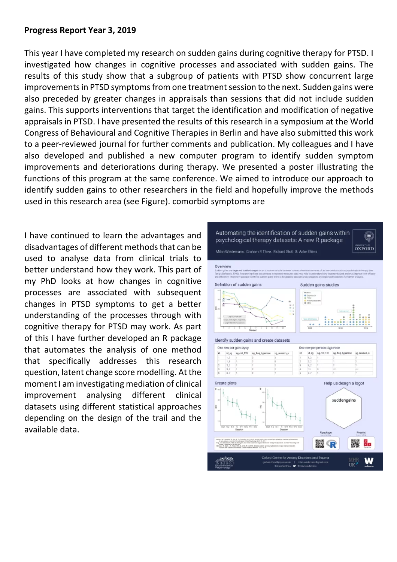#### **Progress Report Year 3, 2019**

This year I have completed my research on sudden gains during cognitive therapy for PTSD. I investigated how changes in cognitive processes and associated with sudden gains. The results of this study show that a subgroup of patients with PTSD show concurrent large improvements in PTSD symptoms from one treatment session to the next. Sudden gains were also preceded by greater changes in appraisals than sessions that did not include sudden gains. This supports interventions that target the identification and modification of negative appraisals in PTSD. I have presented the results of this research in a symposium at the World Congress of Behavioural and Cognitive Therapies in Berlin and have also submitted this work to a peer-reviewed journal for further comments and publication. My colleagues and I have also developed and published a new computer program to identify sudden symptom improvements and deteriorations during therapy. We presented a poster illustrating the functions of this program at the same conference. We aimed to introduce our approach to identify sudden gains to other researchers in the field and hopefully improve the methods used in this research area (see Figure). comorbid symptoms are

I have continued to learn the advantages and disadvantages of different methods that can be used to analyse data from clinical trials to better understand how they work. This part of my PhD looks at how changes in cognitive processes are associated with subsequent changes in PTSD symptoms to get a better understanding of the processes through with cognitive therapy for PTSD may work. As part of this I have further developed an R package that automates the analysis of one method that specifically addresses this research question, latent change score modelling. At the moment I am investigating mediation of clinical improvement analysing different clinical datasets using different statistical approaches depending on the design of the trail and the available data.

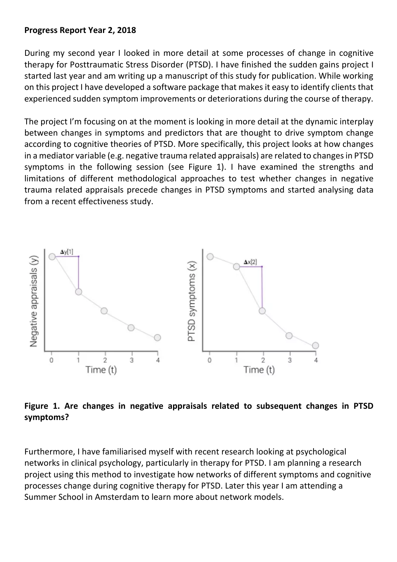#### **Progress Report Year 2, 2018**

During my second year I looked in more detail at some processes of change in cognitive therapy for Posttraumatic Stress Disorder (PTSD). I have finished the sudden gains project I started last year and am writing up a manuscript of this study for publication. While working on this project I have developed a software package that makes it easy to identify clients that experienced sudden symptom improvements or deteriorations during the course of therapy.

The project I'm focusing on at the moment is looking in more detail at the dynamic interplay between changes in symptoms and predictors that are thought to drive symptom change according to cognitive theories of PTSD. More specifically, this project looks at how changes in a mediator variable (e.g. negative trauma related appraisals) are related to changes in PTSD symptoms in the following session (see Figure 1). I have examined the strengths and limitations of different methodological approaches to test whether changes in negative trauma related appraisals precede changes in PTSD symptoms and started analysing data from a recent effectiveness study.



## **Figure 1. Are changes in negative appraisals related to subsequent changes in PTSD symptoms?**

Furthermore, I have familiarised myself with recent research looking at psychological networks in clinical psychology, particularly in therapy for PTSD. I am planning a research project using this method to investigate how networks of different symptoms and cognitive processes change during cognitive therapy for PTSD. Later this year I am attending a Summer School in Amsterdam to learn more about network models.